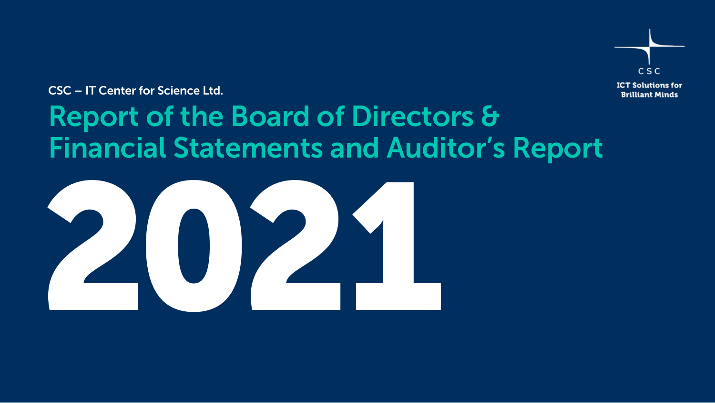

CSC – IT Center for Science Ltd.

# Report of the Board of Directors & Financial Statements and Auditor's Report

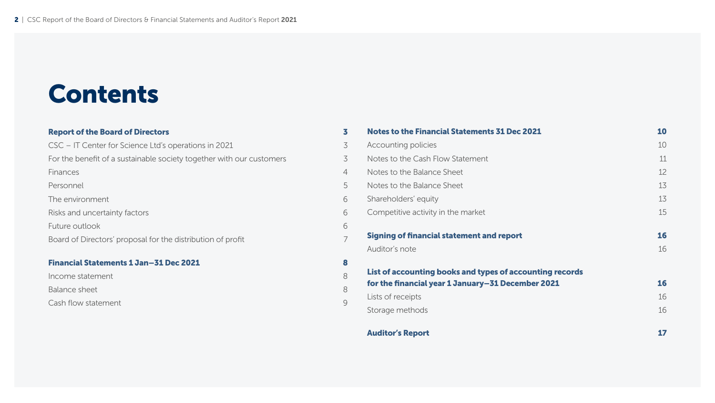# Contents

# **[Report of the Board of Directors](#page-2-0) 3**

| Financial Statements 1 Jan-31 Dec 2021                               |                |
|----------------------------------------------------------------------|----------------|
| Board of Directors' proposal for the distribution of profit          | 7              |
|                                                                      |                |
| Future outlook                                                       | 6              |
| Risks and uncertainty factors                                        | 6              |
| The environment                                                      | 6              |
| Personnel                                                            | 5              |
| Finances                                                             | $\overline{4}$ |
| For the benefit of a sustainable society together with our customers | 3              |
| CSC – IT Center for Science Ltd's operations in 2021                 | 3              |

[Income statement](#page-7-0) 8 [Balance sheet](#page-7-0) 8 [Cash flow statement 9](#page-8-0)

| <b>Notes to the Financial Statements 31 Dec 2021</b>     | 10 |
|----------------------------------------------------------|----|
| Accounting policies                                      | 10 |
| Notes to the Cash Flow Statement                         | 11 |
| Notes to the Balance Sheet                               | 12 |
| Notes to the Balance Sheet                               | 13 |
| Shareholders' equity                                     | 13 |
| Competitive activity in the market                       | 15 |
| Signing of financial statement and report                | 16 |
| Auditor's note                                           | 16 |
| List of accounting books and types of accounting records |    |
| for the financial year 1 January–31 December 2021        | 16 |
| Lists of receipts                                        | 16 |
| Storage methods                                          | 16 |
| <b>Auditor's Report</b>                                  | 17 |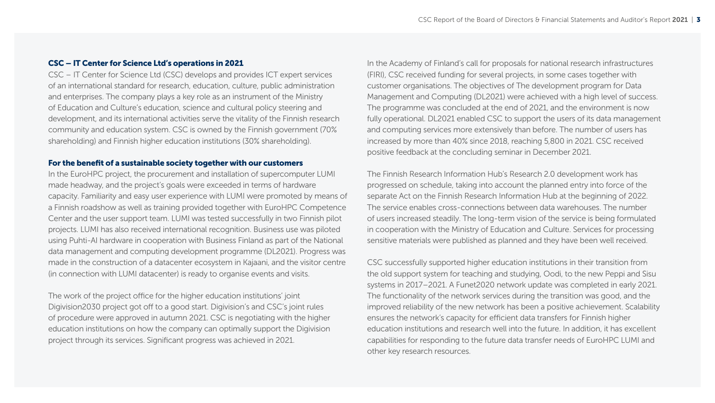# <span id="page-2-0"></span>CSC – IT Center for Science Ltd's operations in 2021

CSC – IT Center for Science Ltd (CSC) develops and provides ICT expert services of an international standard for research, education, culture, public administration and enterprises. The company plays a key role as an instrument of the Ministry of Education and Culture's education, science and cultural policy steering and development, and its international activities serve the vitality of the Finnish research community and education system. CSC is owned by the Finnish government (70% shareholding) and Finnish higher education institutions (30% shareholding).

#### For the benefit of a sustainable society together with our customers

In the EuroHPC project, the procurement and installation of supercomputer LUMI made headway, and the project's goals were exceeded in terms of hardware capacity. Familiarity and easy user experience with LUMI were promoted by means of a Finnish roadshow as well as training provided together with EuroHPC Competence Center and the user support team. LUMI was tested successfully in two Finnish pilot projects. LUMI has also received international recognition. Business use was piloted using Puhti-AI hardware in cooperation with Business Finland as part of the National data management and computing development programme (DL2021). Progress was made in the construction of a datacenter ecosystem in Kajaani, and the visitor centre (in connection with LUMI datacenter) is ready to organise events and visits.

The work of the project office for the higher education institutions' joint Digivision2030 project got off to a good start. Digivision's and CSC's joint rules of procedure were approved in autumn 2021. CSC is negotiating with the higher education institutions on how the company can optimally support the Digivision project through its services. Significant progress was achieved in 2021.

In the Academy of Finland's call for proposals for national research infrastructures (FIRI), CSC received funding for several projects, in some cases together with customer organisations. The objectives of The development program for Data Management and Computing (DL2021) were achieved with a high level of success. The programme was concluded at the end of 2021, and the environment is now fully operational. DL2021 enabled CSC to support the users of its data management and computing services more extensively than before. The number of users has increased by more than 40% since 2018, reaching 5,800 in 2021. CSC received positive feedback at the concluding seminar in December 2021.

The Finnish Research Information Hub's Research 2.0 development work has progressed on schedule, taking into account the planned entry into force of the separate Act on the Finnish Research Information Hub at the beginning of 2022. The service enables cross-connections between data warehouses. The number of users increased steadily. The long-term vision of the service is being formulated in cooperation with the Ministry of Education and Culture. Services for processing sensitive materials were published as planned and they have been well received.

CSC successfully supported higher education institutions in their transition from the old support system for teaching and studying, Oodi, to the new Peppi and Sisu systems in 2017–2021. A Funet2020 network update was completed in early 2021. The functionality of the network services during the transition was good, and the improved reliability of the new network has been a positive achievement. Scalability ensures the network's capacity for efficient data transfers for Finnish higher education institutions and research well into the future. In addition, it has excellent capabilities for responding to the future data transfer needs of EuroHPC LUMI and other key research resources.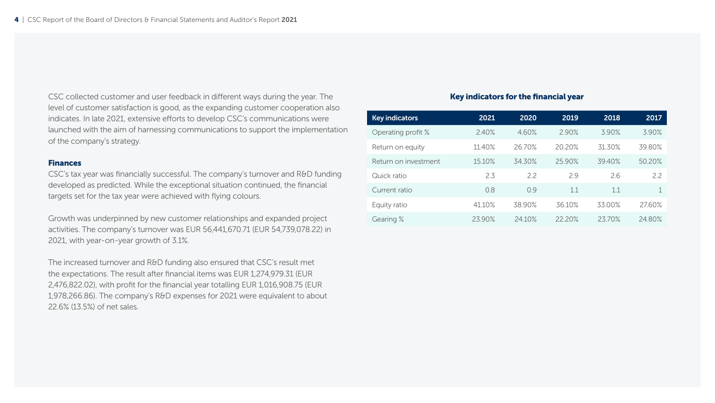<span id="page-3-0"></span>CSC collected customer and user feedback in different ways during the year. The level of customer satisfaction is good, as the expanding customer cooperation also indicates. In late 2021, extensive efforts to develop CSC's communications were launched with the aim of harnessing communications to support the implementation of the company's strategy.

#### Finances

CSC's tax year was financially successful. The company's turnover and R&D funding developed as predicted. While the exceptional situation continued, the financial targets set for the tax year were achieved with flying colours.

Growth was underpinned by new customer relationships and expanded project activities. The company's turnover was EUR 56,441,670.71 (EUR 54,739,078.22) in 2021, with year-on-year growth of 3.1%.

The increased turnover and R&D funding also ensured that CSC's result met the expectations. The result after financial items was EUR 1,274,979.31 (EUR 2,476,822.02), with profit for the financial year totalling EUR 1,016,908.75 (EUR 1,978,266.86). The company's R&D expenses for 2021 were equivalent to about 22.6% (13.5%) of net sales.

#### Key indicators for the financial year

| <b>Key indicators</b> | 2021   | 2020   | 2019   | 2018   | 2017   |
|-----------------------|--------|--------|--------|--------|--------|
| Operating profit %    | 2.40%  | 4.60%  | 2.90%  | 3.90%  | 3.90%  |
| Return on equity      | 11.40% | 26.70% | 20.20% | 31.30% | 39.80% |
| Return on investment  | 15.10% | 34.30% | 25.90% | 39.40% | 50.20% |
| Quick ratio           | 2.3    | 22     | 2.9    | 2.6    | 22     |
| Current ratio         | 0.8    | 09     | 1.1    | 1.1    | 1      |
| Equity ratio          | 41.10% | 38.90% | 36.10% | 33.00% | 27.60% |
| Gearing %             | 23.90% | 24.10% | 22.20% | 23.70% | 24.80% |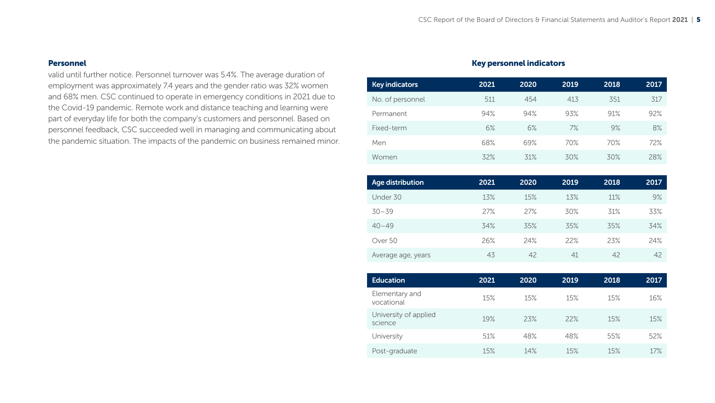## <span id="page-4-0"></span>Personnel

valid until further notice. Personnel turnover was 5.4%. The average duration of employment was approximately 7.4 years and the gender ratio was 32% women and 68% men. CSC continued to operate in emergency conditions in 2021 due to the Covid-19 pandemic. Remote work and distance teaching and learning were part of everyday life for both the company's customers and personnel. Based on personnel feedback, CSC succeeded well in managing and communicating about the pandemic situation. The impacts of the pandemic on business remained minor.

# Key personnel indicators

| <b>Key indicators</b> | 2021 | 2020 | 2019 | 2018 | 2017 |
|-----------------------|------|------|------|------|------|
| No. of personnel      | 511  | 454  | 413  | 351  | 317  |
| Permanent             | 94%  | 94%  | 93%  | 91%  | 92%  |
| Fixed-term            | 6%   | 6%   | 7%   | 9%   | 8%   |
| Men                   | 68%  | 69%  | 70%  | 70%  | 72%  |
| Women                 | 32%  | 31%  | 30%  | 30%  | 28%  |
|                       |      |      |      |      |      |

| Age distribution   | 2021 | 2020 | 2019 | 2018 | 2017 |
|--------------------|------|------|------|------|------|
| Under 30           | 13%  | 15%  | 13%  | 11%  | 9%   |
| $30 - 39$          | 27%  | 27%  | 30%  | 31%  | 33%  |
| $40 - 49$          | 34%  | 35%  | 35%  | 35%  | 34%  |
| Over 50            | 26%  | 24%  | 22%  | 23%  | 24%  |
| Average age, years | 43   | 42   | 41   | 42   | 42   |

| <b>Education</b>                 | 2021 | 2020 | 2019 | 2018 | 2017 |
|----------------------------------|------|------|------|------|------|
| Elementary and<br>vocational     | 15%  | 15%  | 15%  | 15%  | 16%  |
| University of applied<br>science | 19%  | 23%  | 22%  | 15%  | 15%  |
| University                       | 51%  | 48%  | 48%  | 55%  | 52%  |
| Post-graduate                    | 15%  | 14%  | 15%  | 15%  | 17%  |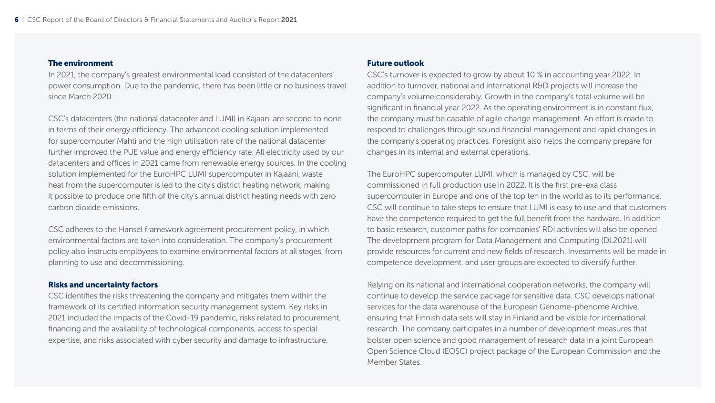#### <span id="page-5-0"></span>The environment

In 2021, the company's greatest environmental load consisted of the datacenters' power consumption. Due to the pandemic, there has been little or no business travel since March 2020.

CSC's datacenters (the national datacenter and LUMI) in Kajaani are second to none in terms of their energy efficiency. The advanced cooling solution implemented for supercomputer Mahti and the high utilisation rate of the national datacenter further improved the PUE value and energy efficiency rate. All electricity used by our datacenters and offices in 2021 came from renewable energy sources. In the cooling solution implemented for the EuroHPC LUMI supercomputer in Kajaani, waste heat from the supercomputer is led to the city's district heating network, making it possible to produce one fifth of the city's annual district heating needs with zero carbon dioxide emissions.

CSC adheres to the Hansel framework agreement procurement policy, in which environmental factors are taken into consideration. The company's procurement policy also instructs employees to examine environmental factors at all stages, from planning to use and decommissioning.

## Risks and uncertainty factors

CSC identifies the risks threatening the company and mitigates them within the framework of its certified information security management system. Key risks in 2021 included the impacts of the Covid-19 pandemic, risks related to procurement, financing and the availability of technological components, access to special expertise, and risks associated with cyber security and damage to infrastructure.

#### Future outlook

CSC's turnover is expected to grow by about 10 % in accounting year 2022. In addition to turnover, national and international R&D projects will increase the company's volume considerably. Growth in the company's total volume will be significant in financial year 2022. As the operating environment is in constant flux, the company must be capable of agile change management. An effort is made to respond to challenges through sound financial management and rapid changes in the company's operating practices. Foresight also helps the company prepare for changes in its internal and external operations.

The EuroHPC supercomputer LUMI, which is managed by CSC, will be commissioned in full production use in 2022. It is the first pre-exa class supercomputer in Europe and one of the top ten in the world as to its performance. CSC will continue to take steps to ensure that LUMI is easy to use and that customers have the competence required to get the full benefit from the hardware. In addition to basic research, customer paths for companies' RDI activities will also be opened. The development program for Data Management and Computing (DL2021) will provide resources for current and new fields of research. Investments will be made in competence development, and user groups are expected to diversify further.

Relying on its national and international cooperation networks, the company will continue to develop the service package for sensitive data. CSC develops national services for the data warehouse of the European Genome-phenome Archive, ensuring that Finnish data sets will stay in Finland and be visible for international research. The company participates in a number of development measures that bolster open science and good management of research data in a joint European Open Science Cloud (EOSC) project package of the European Commission and the Member States.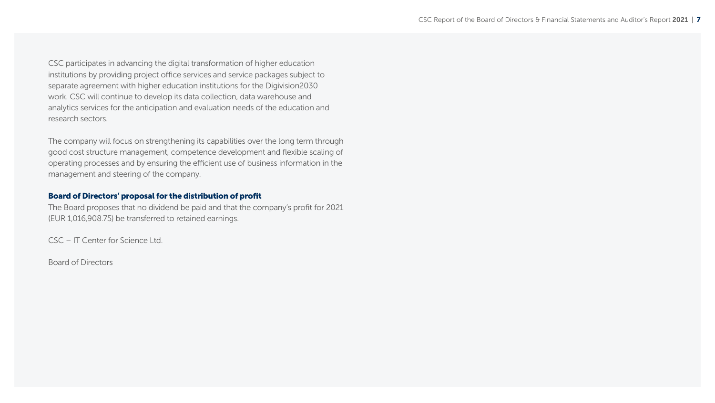<span id="page-6-0"></span>CSC participates in advancing the digital transformation of higher education institutions by providing project office services and service packages subject to separate agreement with higher education institutions for the Digivision2030 work. CSC will continue to develop its data collection, data warehouse and analytics services for the anticipation and evaluation needs of the education and research sectors.

The company will focus on strengthening its capabilities over the long term through good cost structure management, competence development and flexible scaling of operating processes and by ensuring the efficient use of business information in the management and steering of the company.

## Board of Directors' proposal for the distribution of profit

The Board proposes that no dividend be paid and that the company's profit for 2021 (EUR 1,016,908.75) be transferred to retained earnings.

CSC – IT Center for Science Ltd.

Board of Directors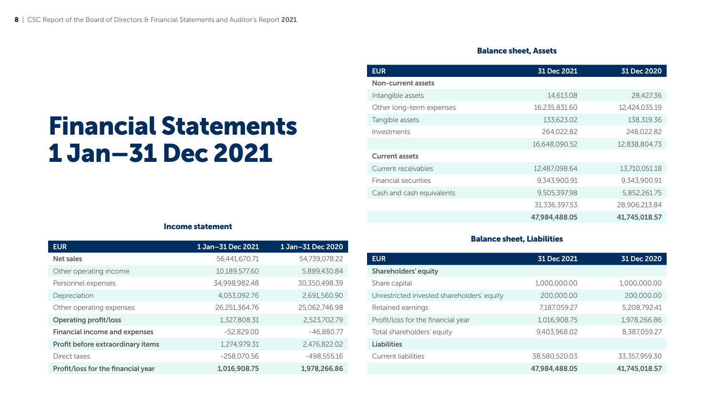# Balance sheet, Assets

<span id="page-7-0"></span>

|                             | Int |
|-----------------------------|-----|
|                             |     |
| <b>Financial Statements</b> | Та  |
|                             | ln١ |
|                             |     |
| 1 Jan-31 Dec 2021           |     |
|                             |     |

| <b>EUR</b>                | 31 Dec 2021   | 31 Dec 2020   |
|---------------------------|---------------|---------------|
| Non-current assets        |               |               |
| Intangible assets         | 14,613.08     | 28,427.36     |
| Other long-term expenses  | 16,235,831.60 | 12,424,035.19 |
| Tangible assets           | 133.623.02    | 138,319.36    |
| Investments               | 264.022.82    | 248,022.82    |
|                           | 16,648,090.52 | 12.838.804.73 |
| <b>Current assets</b>     |               |               |
| Current receivables       | 12,487,098.64 | 13,710,051.18 |
| Financial securities      | 9.343.900.91  | 9.343.900.91  |
| Cash and cash equivalents | 9,505,397.98  | 5,852,261.75  |
|                           | 31,336,397.53 | 28,906,213.84 |
|                           | 47,984,488.05 | 41,745,018.57 |

# Income statement

| <b>EUR</b>                           | 1 Jan-31 Dec 2021 | 1 Jan-31 Dec 2020 |
|--------------------------------------|-------------------|-------------------|
| Net sales                            | 56,441,670.71     | 54,739,078.22     |
| Other operating income               | 10.189.577.60     | 5.889.430.84      |
| Personnel expenses                   | 34,998,982.48     | 30.350.498.39     |
| Depreciation                         | 4,053,092.76      | 2,691,560.90      |
| Other operating expenses             | 26,251,364.76     | 25.062.746.98     |
| <b>Operating profit/loss</b>         | 1,327,808.31      | 2,523,702.79      |
| <b>Financial income and expenses</b> | $-52.829.00$      | $-46.880.77$      |
| Profit before extraordinary items    | 1,274,979.31      | 2,476,822.02      |
| Direct taxes                         | $-258,070.56$     | $-498,555.16$     |
| Profit/loss for the financial year   | 1.016.908.75      | 1.978.266.86      |

# Balance sheet, Liabilities

| <b>EUR</b>                                 | 31 Dec 2021   | 31 Dec 2020   |
|--------------------------------------------|---------------|---------------|
| <b>Shareholders' equity</b>                |               |               |
| Share capital                              | 1,000,000,00  | 1,000,000,00  |
| Unrestricted invested shareholders' equity | 200,000.00    | 200,000.00    |
| Retained earnings                          | 7,187,059.27  | 5,208,792.41  |
| Profit/loss for the financial year         | 1,016,908.75  | 1.978.266.86  |
| Total shareholders' equity                 | 9.403.968.02  | 8.387.059.27  |
| <b>Liabilities</b>                         |               |               |
| Current liabilities                        | 38.580.520.03 | 33.357.959.30 |
|                                            | 47,984,488,05 | 41,745,018.57 |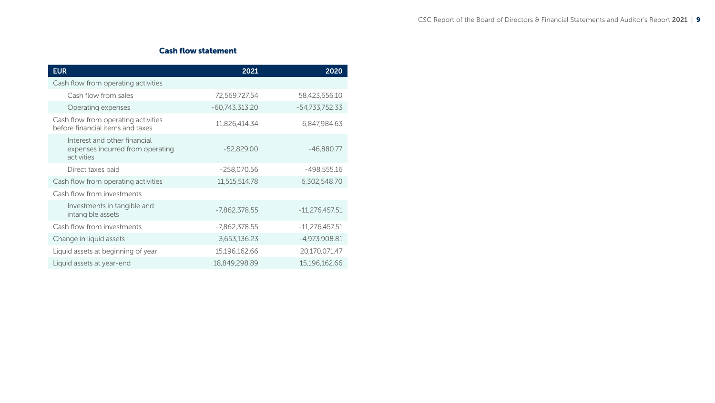# Cash flow statement

<span id="page-8-0"></span>

| <b>EUR</b>                                                                     | 2021             | 2020             |
|--------------------------------------------------------------------------------|------------------|------------------|
| Cash flow from operating activities                                            |                  |                  |
| Cash flow from sales                                                           | 72,569,727.54    | 58,423,656.10    |
| Operating expenses                                                             | $-60,743,313.20$ | -54,733,752.33   |
| Cash flow from operating activities<br>before financial items and taxes        | 11,826,414.34    | 6,847,984.63     |
| Interest and other financial<br>expenses incurred from operating<br>activities | $-52,829.00$     | $-46,880.77$     |
| Direct taxes paid                                                              | $-258,070.56$    | $-498,555.16$    |
| Cash flow from operating activities                                            | 11,515,514.78    | 6,302,548.70     |
| Cash flow from investments                                                     |                  |                  |
| Investments in tangible and<br>intangible assets                               | $-7,862,378.55$  | $-11,276,457.51$ |
| Cash flow from investments                                                     | $-7,862,378.55$  | $-11,276,457.51$ |
| Change in liquid assets                                                        | 3,653,136.23     | $-4,973,908.81$  |
| Liquid assets at beginning of year                                             | 15,196,162.66    | 20,170,071.47    |
| Liquid assets at year-end                                                      | 18,849,298.89    | 15,196,162.66    |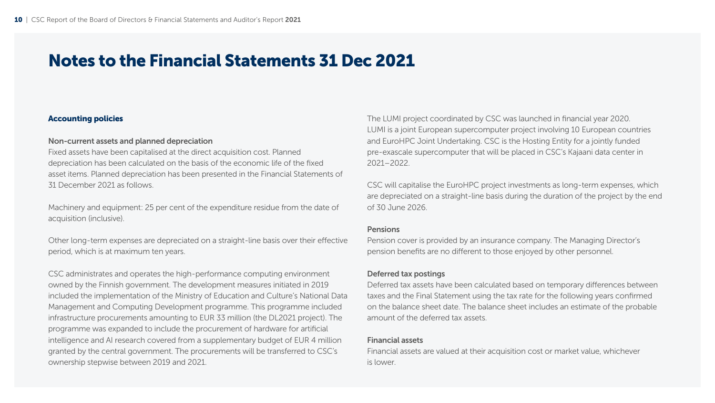# <span id="page-9-0"></span>Notes to the Financial Statements 31 Dec 2021

#### Accounting policies

## Non-current assets and planned depreciation

Fixed assets have been capitalised at the direct acquisition cost. Planned depreciation has been calculated on the basis of the economic life of the fixed asset items. Planned depreciation has been presented in the Financial Statements of 31 December 2021 as follows.

Machinery and equipment: 25 per cent of the expenditure residue from the date of acquisition (inclusive).

Other long-term expenses are depreciated on a straight-line basis over their effective period, which is at maximum ten years.

CSC administrates and operates the high-performance computing environment owned by the Finnish government. The development measures initiated in 2019 included the implementation of the Ministry of Education and Culture's National Data Management and Computing Development programme. This programme included infrastructure procurements amounting to EUR 33 million (the DL2021 project). The programme was expanded to include the procurement of hardware for artificial intelligence and AI research covered from a supplementary budget of EUR 4 million granted by the central government. The procurements will be transferred to CSC's ownership stepwise between 2019 and 2021.

The LUMI project coordinated by CSC was launched in financial year 2020. LUMI is a joint European supercomputer project involving 10 European countries and EuroHPC Joint Undertaking. CSC is the Hosting Entity for a jointly funded pre-exascale supercomputer that will be placed in CSC's Kajaani data center in 2021–2022.

CSC will capitalise the EuroHPC project investments as long-term expenses, which are depreciated on a straight-line basis during the duration of the project by the end of 30 June 2026.

#### Pensions

Pension cover is provided by an insurance company. The Managing Director's pension benefits are no different to those enjoyed by other personnel.

#### Deferred tax postings

Deferred tax assets have been calculated based on temporary differences between taxes and the Final Statement using the tax rate for the following years confirmed on the balance sheet date. The balance sheet includes an estimate of the probable amount of the deferred tax assets.

### Financial assets

Financial assets are valued at their acquisition cost or market value, whichever is lower.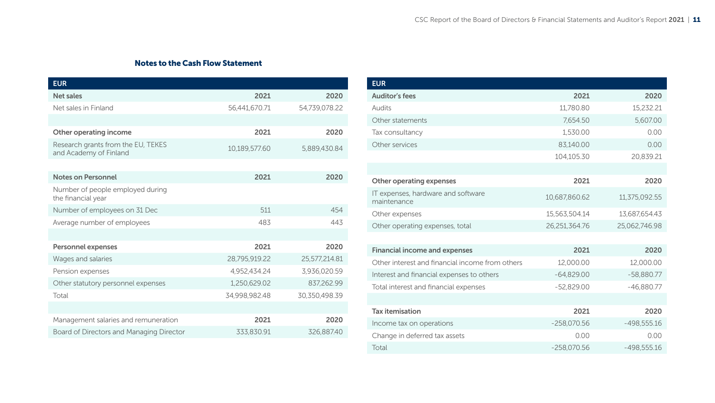# Notes to the Cash Flow Statement

<span id="page-10-0"></span>

| <b>EUR</b>                                                   |               |               |
|--------------------------------------------------------------|---------------|---------------|
| <b>Net sales</b>                                             | 2021          | 2020          |
| Net sales in Finland                                         | 56,441,670.71 | 54,739,078.22 |
|                                                              |               |               |
| Other operating income                                       | 2021          | 2020          |
| Research grants from the EU, TEKES<br>and Academy of Finland | 10,189,577.60 | 5,889,430.84  |
|                                                              |               |               |
| <b>Notes on Personnel</b>                                    | 2021          | 2020          |
| Number of people employed during<br>the financial year       |               |               |
| Number of employees on 31 Dec                                | 511           | 454           |
| Average number of employees                                  | 483           | 443           |
|                                                              |               |               |
| <b>Personnel expenses</b>                                    | 2021          | 2020          |
| Wages and salaries                                           | 28,795,919.22 | 25,577,214.81 |
| Pension expenses                                             | 4,952,434.24  | 3,936,020.59  |
| Other statutory personnel expenses                           | 1,250,629.02  | 837,262.99    |
| Total                                                        | 34,998,982.48 | 30,350,498.39 |
|                                                              |               |               |
| Management salaries and remuneration                         | 2021          | 2020          |
| Board of Directors and Managing Director                     | 333,830.91    | 326,887.40    |

| <b>EUR</b>                                        |               |               |
|---------------------------------------------------|---------------|---------------|
| <b>Auditor's fees</b>                             | 2021          | 2020          |
| Audits                                            | 11,780.80     | 15,232.21     |
| Other statements                                  | 7,654.50      | 5,607.00      |
| Tax consultancy                                   | 1.530.00      | 0.00          |
| Other services                                    | 83,140.00     | 0.00          |
|                                                   | 104,105.30    | 20,839.21     |
|                                                   |               |               |
| Other operating expenses                          | 2021          | 2020          |
| IT expenses, hardware and software<br>maintenance | 10,687,860.62 | 11,375,092.55 |
| Other expenses                                    | 15,563,504.14 | 13,687,654.43 |
| Other operating expenses, total                   | 26,251,364.76 | 25,062,746.98 |
|                                                   |               |               |
| <b>Financial income and expenses</b>              | 2021          | 2020          |
| Other interest and financial income from others   | 12,000.00     | 12,000.00     |
| Interest and financial expenses to others         | $-64,829.00$  | $-58,880.77$  |
| Total interest and financial expenses             | $-52.829.00$  | $-46.880.77$  |
|                                                   |               |               |
| <b>Tax itemisation</b>                            | 2021          | 2020          |
| Income tax on operations                          | $-258,070.56$ | $-498,555.16$ |
| Change in deferred tax assets                     | 0.00          | 0.00          |
| Total                                             | $-258,070.56$ | $-498.555.16$ |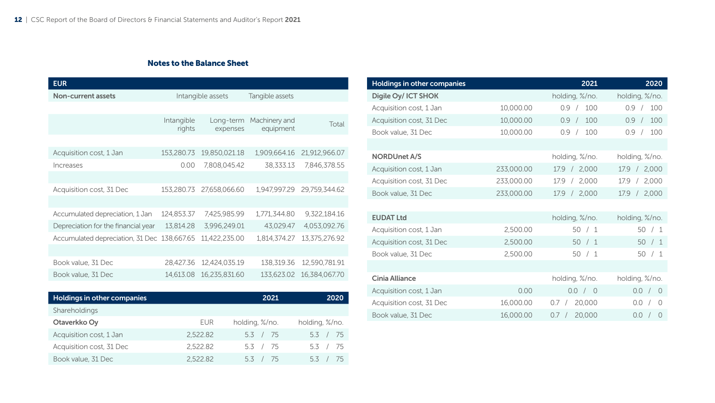# Notes to the Balance Sheet

<span id="page-11-0"></span>

| <b>EUR</b>                                  |                      |                       |                            |               |
|---------------------------------------------|----------------------|-----------------------|----------------------------|---------------|
| <b>Non-current assets</b>                   |                      | Intangible assets     | Tangible assets            |               |
|                                             |                      |                       |                            |               |
|                                             | Intangible<br>rights | Long-term<br>expenses | Machinery and<br>equipment | Total         |
|                                             |                      |                       |                            |               |
| Acquisition cost, 1 Jan                     | 153,280.73           | 19,850,021.18         | 1,909,664.16               | 21,912,966.07 |
| Increases                                   | 0.00                 | 7,808,045.42          | 38,333.13                  | 7,846,378.55  |
|                                             |                      |                       |                            |               |
| Acquisition cost, 31 Dec                    | 153,280.73           | 27,658,066.60         | 1.947.997.29               | 29,759,344.62 |
|                                             |                      |                       |                            |               |
| Accumulated depreciation, 1 Jan             | 124,853.37           | 7,425,985.99          | 1,771,344.80               | 9,322,184.16  |
| Depreciation for the financial year         | 13,814.28            | 3,996,249.01          | 43,029.47                  | 4,053,092.76  |
| Accumulated depreciation, 31 Dec 138,667.65 |                      | 11,422,235.00         | 1,814,374.27               | 13,375,276.92 |
|                                             |                      |                       |                            |               |
| Book value, 31 Dec                          | 28,427.36            | 12,424,035.19         | 138,319.36                 | 12,590,781.91 |
| Book value, 31 Dec                          | 14,613.08            | 16,235,831.60         | 133,623.02                 | 16,384,067.70 |

| Holdings in other companies |          | 2021           | 2020           |
|-----------------------------|----------|----------------|----------------|
| Shareholdings               |          |                |                |
| Otaverkko Oy                | EUR      | holding, %/no. | holding, %/no. |
| Acquisition cost, 1 Jan     | 2.522.82 | 5.3 / 75       | 5.3 / 75       |
| Acquisition cost, 31 Dec    | 2.522.82 | 5.3 / 75       | 5.3 / 75       |
| Book value, 31 Dec          | 2.522.82 | 53 / 75        | 53 / 75        |

| Holdings in other companies |            | 2021                        | 2020                     |
|-----------------------------|------------|-----------------------------|--------------------------|
| Digile Oy/ ICT SHOK         |            | holding, %/no.              | holding, %/no.           |
| Acquisition cost, 1 Jan     | 10,000.00  | 0.9 /<br>100                | 100<br>0.9<br>$\sqrt{2}$ |
| Acquisition cost, 31 Dec    | 10,000.00  | 100<br>0.9 /                | 100<br>0.9<br>$\sqrt{2}$ |
| Book value, 31 Dec          | 10,000.00  | 100<br>0.9/                 | 100<br>0.9<br>$\sqrt{2}$ |
|                             |            |                             |                          |
| <b>NORDUnet A/S</b>         |            | holding, %/no.              | holding, %/no.           |
| Acquisition cost, 1 Jan     | 233,000.00 | 17.9 / 2,000                | 17.9 / 2,000             |
| Acquisition cost, 31 Dec    | 233,000.00 | 17.9 / 2,000                | 2,000<br>17.9/           |
| Book value, 31 Dec          | 233,000.00 | 17.9 / 2,000                | 17.9 / 2,000             |
|                             |            |                             |                          |
| <b>EUDAT Ltd</b>            |            | holding, %/no.              | holding, %/no.           |
| Acquisition cost, 1 Jan     | 2,500.00   | 50 / 1                      | 50 / 1                   |
| Acquisition cost, 31 Dec    | 2,500.00   | 50 / 1                      | 50 / 1                   |
| Book value, 31 Dec          | 2,500.00   | 50 / 1                      | 50 / 1                   |
|                             |            |                             |                          |
| Cinia Alliance              |            | holding, %/no.              | holding, %/no.           |
| Acquisition cost, 1 Jan     | 0.00       | 0.0 / 0                     | 0.0 / 0                  |
| Acquisition cost, 31 Dec    | 16,000.00  | 20,000<br>0.7<br>$\sqrt{2}$ | 0.0 /<br>$\Omega$        |
| Book value, 31 Dec          | 16,000.00  | 20,000<br>0.7 /             | 0.0 / 0                  |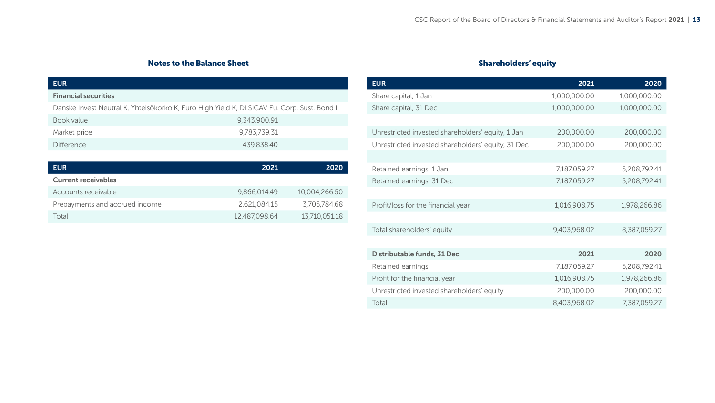# Notes to the Balance Sheet

<span id="page-12-0"></span>

| <b>EUR</b>                                                                                  |               |               |
|---------------------------------------------------------------------------------------------|---------------|---------------|
| <b>Financial securities</b>                                                                 |               |               |
| Danske Invest Neutral K, Yhteisökorko K, Euro High Yield K, DI SICAV Eu. Corp. Sust. Bond I |               |               |
| Book value                                                                                  | 9,343,900.91  |               |
| Market price                                                                                | 9.783.739.31  |               |
| <b>Difference</b>                                                                           | 439.838.40    |               |
|                                                                                             |               |               |
| <b>EUR</b>                                                                                  | 2021          | 2020          |
| <b>Current receivables</b>                                                                  |               |               |
| Accounts receivable                                                                         | 9.866.014.49  | 10.004.266.50 |
| Prepayments and accrued income                                                              | 2.621.084.15  | 3.705.784.68  |
| Total                                                                                       | 12,487,098.64 | 13,710,051.18 |
|                                                                                             |               |               |

# Shareholders' equity

| <b>EUR</b>                                         | 2021         | 2020         |
|----------------------------------------------------|--------------|--------------|
| Share capital, 1 Jan                               | 1,000,000.00 | 1,000,000.00 |
| Share capital, 31 Dec                              | 1,000,000.00 | 1,000,000.00 |
|                                                    |              |              |
| Unrestricted invested shareholders' equity, 1 Jan  | 200,000.00   | 200,000.00   |
| Unrestricted invested shareholders' equity, 31 Dec | 200,000.00   | 200,000.00   |
|                                                    |              |              |
| Retained earnings, 1 Jan                           | 7,187,059.27 | 5,208,792.41 |
| Retained earnings, 31 Dec                          | 7,187,059.27 | 5,208,792.41 |
|                                                    |              |              |
| Profit/loss for the financial year                 | 1,016,908.75 | 1,978,266.86 |
|                                                    |              |              |
| Total shareholders' equity                         | 9,403,968.02 | 8,387,059.27 |
|                                                    |              |              |
| Distributable funds, 31 Dec                        | 2021         | 2020         |
| Retained earnings                                  | 7,187,059.27 | 5,208,792.41 |
| Profit for the financial year                      | 1,016,908.75 | 1,978,266.86 |
| Unrestricted invested shareholders' equity         | 200,000.00   | 200,000.00   |
| Total                                              | 8,403,968.02 | 7,387,059.27 |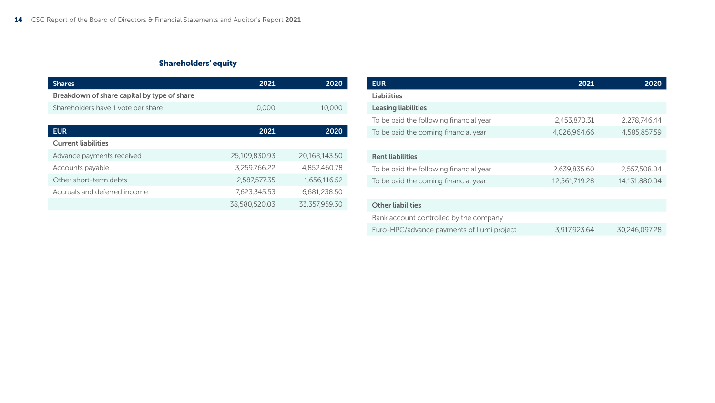# Shareholders' equity

| <b>Shares</b>                               | 2021          | 2020          |
|---------------------------------------------|---------------|---------------|
| Breakdown of share capital by type of share |               |               |
| Shareholders have 1 vote per share          | 10,000        | 10,000        |
|                                             |               |               |
| <b>EUR</b>                                  | 2021          | 2020          |
| <b>Current liabilities</b>                  |               |               |
| Advance payments received                   | 25.109.830.93 | 20.168.143.50 |
| Accounts payable                            | 3,259,766.22  | 4.852.460.78  |
| Other short-term debts                      | 2,587,577.35  | 1,656,116.52  |
| Accruals and deferred income                | 7.623.345.53  | 6.681.238.50  |
|                                             | 38.580.520.03 | 33.357.959.30 |

| <b>EUR</b>                                | 2021          | 2020          |
|-------------------------------------------|---------------|---------------|
| Liabilities                               |               |               |
| <b>Leasing liabilities</b>                |               |               |
| To be paid the following financial year   | 2,453,870.31  | 2,278,746.44  |
| To be paid the coming financial year      | 4.026.964.66  | 4,585,857.59  |
|                                           |               |               |
| <b>Rent liabilities</b>                   |               |               |
| To be paid the following financial year   | 2.639.835.60  | 2.557.508.04  |
| To be paid the coming financial year      | 12,561,719.28 | 14,131,880.04 |
|                                           |               |               |
| <b>Other liabilities</b>                  |               |               |
| Bank account controlled by the company    |               |               |
| Euro-HPC/advance payments of Lumi project | 3.917.923.64  | 30.246.097.28 |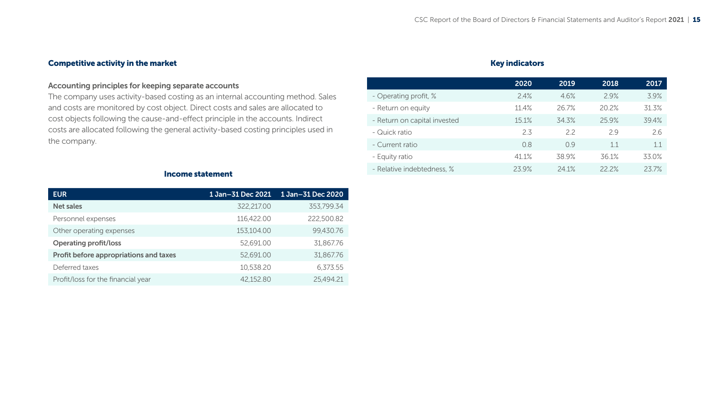# <span id="page-14-0"></span>Competitive activity in the market

# Accounting principles for keeping separate accounts

The company uses activity-based costing as an internal accounting method. Sales and costs are monitored by cost object. Direct costs and sales are allocated to cost objects following the cause-and-effect principle in the accounts. Indirect costs are allocated following the general activity-based costing principles used in the company.

# Key indicators

|                              | 2020  | 2019  | 2018  | 2017  |
|------------------------------|-------|-------|-------|-------|
| - Operating profit, %        | 2.4%  | 4.6%  | 29%   | 3.9%  |
| - Return on equity           | 11.4% | 26.7% | 20.2% | 31.3% |
| - Return on capital invested | 15.1% | 34.3% | 25.9% | 39.4% |
| - Quick ratio                | 2.3   | 22    | 29    | 26    |
| - Current ratio              | 0.8   | 09    | 1.1   | 11    |
| - Equity ratio               | 411%  | 38.9% | 36.1% | 33.0% |
| - Relative indebtedness. %   | 239%  | 241%  | 222%  | 237%  |
|                              |       |       |       |       |

#### Income statement

| <b>EUR</b>                             | 1 Jan-31 Dec 2021 | 1 Jan-31 Dec 2020 |
|----------------------------------------|-------------------|-------------------|
| <b>Net sales</b>                       | 322,217.00        | 353.799.34        |
| Personnel expenses                     | 116.422.00        | 222,500.82        |
| Other operating expenses               | 153,104.00        | 99.430.76         |
| <b>Operating profit/loss</b>           | 52,691.00         | 31,867.76         |
| Profit before appropriations and taxes | 52.691.00         | 31.867.76         |
| Deferred taxes                         | 10,538.20         | 6.373.55          |
| Profit/loss for the financial year     | 42.152.80         | 25.494.21         |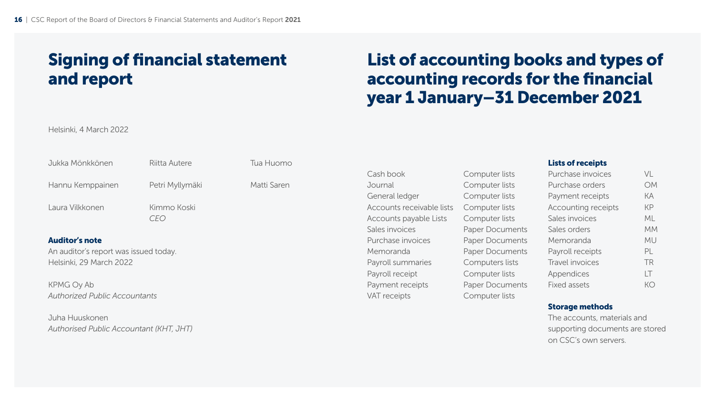# <span id="page-15-0"></span>Signing of financial statement and report

# List of accounting books and types of accounting records for the financial year 1 January–31 December 2021

Helsinki, 4 March 2022

| Jukka Mönkkönen                       | Riitta Autere   | Tua Huomo   |                           |                        | <b>Lists of receipts</b> |           |
|---------------------------------------|-----------------|-------------|---------------------------|------------------------|--------------------------|-----------|
|                                       |                 |             | Cash book                 | Computer lists         | Purchase invoices        | VL        |
| Hannu Kemppainen                      | Petri Myllymäki | Matti Saren | Journal                   | Computer lists         | Purchase orders          | <b>OM</b> |
|                                       |                 |             | General ledger            | Computer lists         | Payment receipts         | КA        |
| Laura Vilkkonen                       | Kimmo Koski     |             | Accounts receivable lists | Computer lists         | Accounting receipts      | <b>KP</b> |
|                                       | <i>CEO</i>      |             | Accounts payable Lists    | Computer lists         | Sales invoices           | ML        |
|                                       |                 |             | Sales invoices            | <b>Paper Documents</b> | Sales orders             | MM.       |
| <b>Auditor's note</b>                 |                 |             | Purchase invoices         | <b>Paper Documents</b> | Memoranda                | <b>MU</b> |
| An auditor's report was issued today. |                 |             | Memoranda                 | <b>Paper Documents</b> | Payroll receipts         | PL        |
| Helsinki, 29 March 2022               |                 |             | Payroll summaries         | Computers lists        | Travel invoices          | <b>TR</b> |
|                                       |                 |             | Payroll receipt           | Computer lists         | Appendices               |           |
| KPMG Oy Ab                            |                 |             | Payment receipts          | <b>Paper Documents</b> | Fixed assets             | КO        |
| <b>Authorized Public Accountants</b>  |                 |             | VAT receipts              | Computer lists         |                          |           |
|                                       |                 |             |                           |                        | Chamana maalka da        |           |

Juha Huuskonen *Authorised Public Accountant (KHT, JHT)*

#### Storage methods

The accounts, materials and supporting documents are stored on CSC's own servers.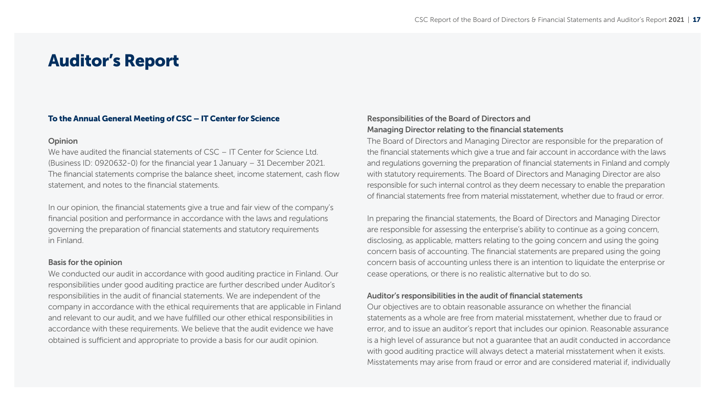# <span id="page-16-0"></span>Auditor's Report

#### To the Annual General Meeting of CSC – IT Center for Science

#### Opinion

We have audited the financial statements of CSC – IT Center for Science Ltd. (Business ID: 0920632-0) for the financial year 1 January – 31 December 2021. The financial statements comprise the balance sheet, income statement, cash flow statement, and notes to the financial statements.

In our opinion, the financial statements give a true and fair view of the company's financial position and performance in accordance with the laws and regulations governing the preparation of financial statements and statutory requirements in Finland.

#### Basis for the opinion

We conducted our audit in accordance with good auditing practice in Finland. Our responsibilities under good auditing practice are further described under Auditor's responsibilities in the audit of financial statements. We are independent of the company in accordance with the ethical requirements that are applicable in Finland and relevant to our audit, and we have fulfilled our other ethical responsibilities in accordance with these requirements. We believe that the audit evidence we have obtained is sufficient and appropriate to provide a basis for our audit opinion.

## Responsibilities of the Board of Directors and Managing Director relating to the financial statements

The Board of Directors and Managing Director are responsible for the preparation of the financial statements which give a true and fair account in accordance with the laws and regulations governing the preparation of financial statements in Finland and comply with statutory requirements. The Board of Directors and Managing Director are also responsible for such internal control as they deem necessary to enable the preparation of financial statements free from material misstatement, whether due to fraud or error.

In preparing the financial statements, the Board of Directors and Managing Director are responsible for assessing the enterprise's ability to continue as a going concern, disclosing, as applicable, matters relating to the going concern and using the going concern basis of accounting. The financial statements are prepared using the going concern basis of accounting unless there is an intention to liquidate the enterprise or cease operations, or there is no realistic alternative but to do so.

#### Auditor's responsibilities in the audit of financial statements

Our objectives are to obtain reasonable assurance on whether the financial statements as a whole are free from material misstatement, whether due to fraud or error, and to issue an auditor's report that includes our opinion. Reasonable assurance is a high level of assurance but not a guarantee that an audit conducted in accordance with good auditing practice will always detect a material misstatement when it exists. Misstatements may arise from fraud or error and are considered material if, individually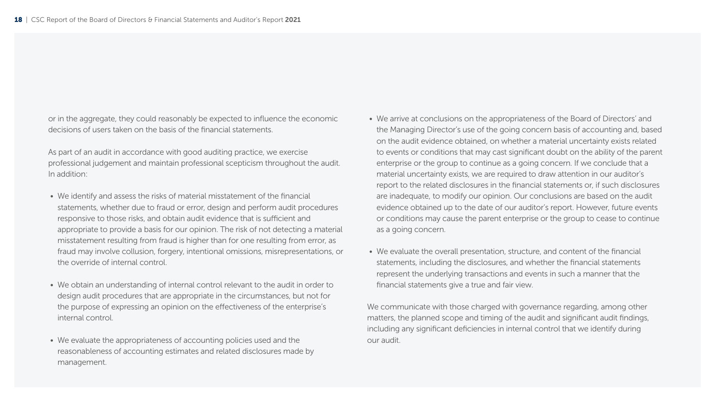or in the aggregate, they could reasonably be expected to influence the economic decisions of users taken on the basis of the financial statements.

As part of an audit in accordance with good auditing practice, we exercise professional judgement and maintain professional scepticism throughout the audit. In addition:

- We identify and assess the risks of material misstatement of the financial statements, whether due to fraud or error, design and perform audit procedures responsive to those risks, and obtain audit evidence that is sufficient and appropriate to provide a basis for our opinion. The risk of not detecting a material misstatement resulting from fraud is higher than for one resulting from error, as fraud may involve collusion, forgery, intentional omissions, misrepresentations, or the override of internal control.
- We obtain an understanding of internal control relevant to the audit in order to design audit procedures that are appropriate in the circumstances, but not for the purpose of expressing an opinion on the effectiveness of the enterprise's internal control.
- We evaluate the appropriateness of accounting policies used and the reasonableness of accounting estimates and related disclosures made by management.
- We arrive at conclusions on the appropriateness of the Board of Directors' and the Managing Director's use of the going concern basis of accounting and, based on the audit evidence obtained, on whether a material uncertainty exists related to events or conditions that may cast significant doubt on the ability of the parent enterprise or the group to continue as a going concern. If we conclude that a material uncertainty exists, we are required to draw attention in our auditor's report to the related disclosures in the financial statements or, if such disclosures are inadequate, to modify our opinion. Our conclusions are based on the audit evidence obtained up to the date of our auditor's report. However, future events or conditions may cause the parent enterprise or the group to cease to continue as a going concern.
- We evaluate the overall presentation, structure, and content of the financial statements, including the disclosures, and whether the financial statements represent the underlying transactions and events in such a manner that the financial statements give a true and fair view.

We communicate with those charged with governance regarding, among other matters, the planned scope and timing of the audit and significant audit findings, including any significant deficiencies in internal control that we identify during our audit.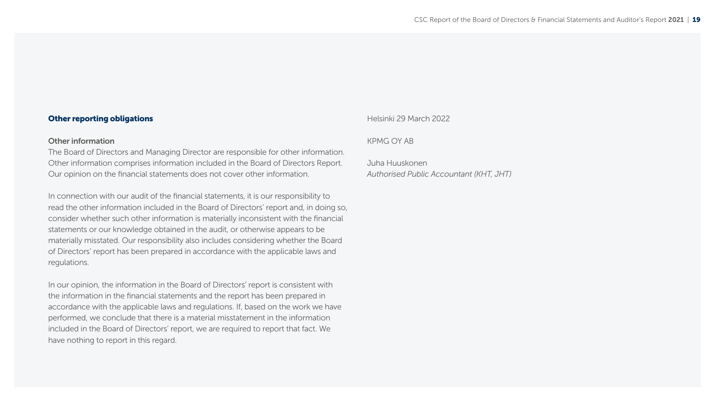#### Other reporting obligations

#### Other information

The Board of Directors and Managing Director are responsible for other information. Other information comprises information included in the Board of Directors Report. Our opinion on the financial statements does not cover other information.

In connection with our audit of the financial statements, it is our responsibility to read the other information included in the Board of Directors' report and, in doing so, consider whether such other information is materially inconsistent with the financial statements or our knowledge obtained in the audit, or otherwise appears to be materially misstated. Our responsibility also includes considering whether the Board of Directors' report has been prepared in accordance with the applicable laws and regulations.

In our opinion, the information in the Board of Directors' report is consistent with the information in the financial statements and the report has been prepared in accordance with the applicable laws and regulations. If, based on the work we have performed, we conclude that there is a material misstatement in the information included in the Board of Directors' report, we are required to report that fact. We have nothing to report in this regard.

Helsinki 29 March 2022

#### KPMG OY AB

Juha Huuskonen *Authorised Public Accountant (KHT, JHT)*